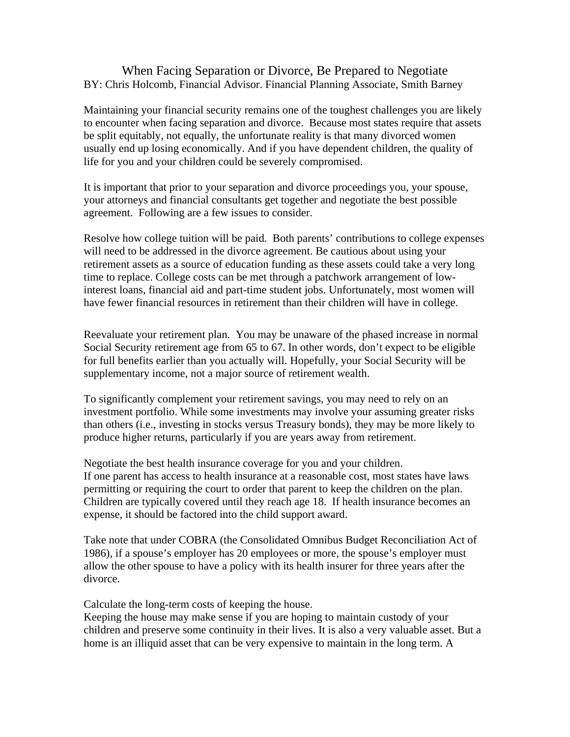## When Facing Separation or Divorce, Be Prepared to Negotiate BY: Chris Holcomb, Financial Advisor. Financial Planning Associate, Smith Barney

Maintaining your financial security remains one of the toughest challenges you are likely to encounter when facing separation and divorce. Because most states require that assets be split equitably, not equally, the unfortunate reality is that many divorced women usually end up losing economically. And if you have dependent children, the quality of life for you and your children could be severely compromised.

It is important that prior to your separation and divorce proceedings you, your spouse, your attorneys and financial consultants get together and negotiate the best possible agreement. Following are a few issues to consider.

Resolve how college tuition will be paid.Both parents' contributions to college expenses will need to be addressed in the divorce agreement. Be cautious about using your retirement assets as a source of education funding as these assets could take a very long time to replace. College costs can be met through a patchwork arrangement of lowinterest loans, financial aid and part-time student jobs. Unfortunately, most women will have fewer financial resources in retirement than their children will have in college.

Reevaluate your retirement plan.You may be unaware of the phased increase in normal Social Security retirement age from 65 to 67. In other words, don't expect to be eligible for full benefits earlier than you actually will. Hopefully, your Social Security will be supplementary income, not a major source of retirement wealth.

To significantly complement your retirement savings, you may need to rely on an investment portfolio. While some investments may involve your assuming greater risks than others (i.e., investing in stocks versus Treasury bonds), they may be more likely to produce higher returns, particularly if you are years away from retirement.

Negotiate the best health insurance coverage for you and your children. If one parent has access to health insurance at a reasonable cost, most states have laws permitting or requiring the court to order that parent to keep the children on the plan. Children are typically covered until they reach age 18. If health insurance becomes an expense, it should be factored into the child support award.

Take note that under COBRA (the Consolidated Omnibus Budget Reconciliation Act of 1986), if a spouse's employer has 20 employees or more, the spouse's employer must allow the other spouse to have a policy with its health insurer for three years after the divorce.

Calculate the long-term costs of keeping the house.

Keeping the house may make sense if you are hoping to maintain custody of your children and preserve some continuity in their lives. It is also a very valuable asset. But a home is an illiquid asset that can be very expensive to maintain in the long term. A